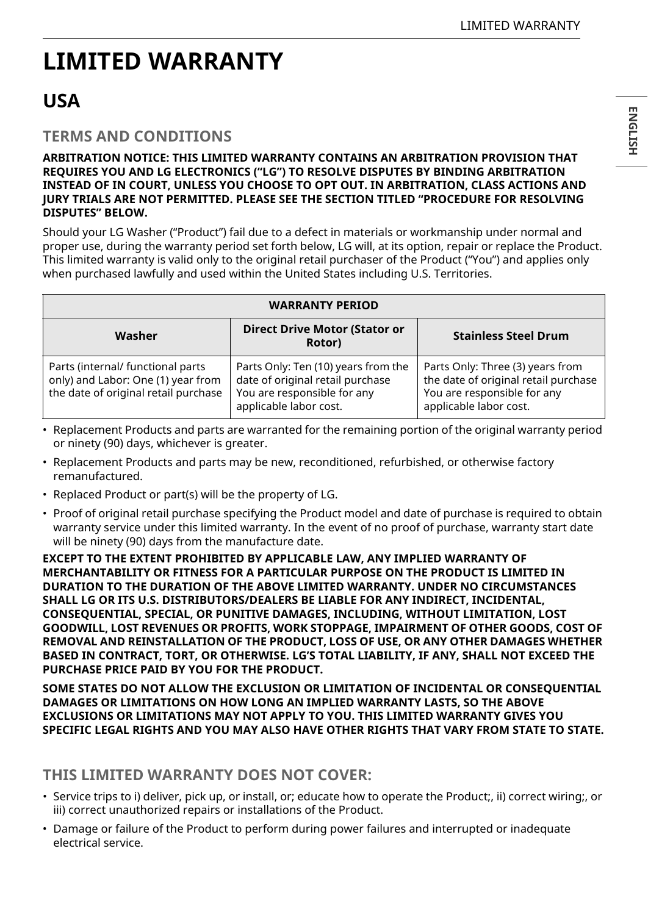# **LIMITED WARRANTY**

# **USA**

# **TERMS AND CONDITIONS**

#### **ARBITRATION NOTICE: THIS LIMITED WARRANTY CONTAINS AN ARBITRATION PROVISION THAT REQUIRES YOU AND LG ELECTRONICS ("LG") TO RESOLVE DISPUTES BY BINDING ARBITRATION INSTEAD OF IN COURT, UNLESS YOU CHOOSE TO OPT OUT. IN ARBITRATION, CLASS ACTIONS AND JURY TRIALS ARE NOT PERMITTED. PLEASE SEE THE SECTION TITLED "PROCEDURE FOR RESOLVING DISPUTES" BELOW.**

Should your LG Washer ("Product") fail due to a defect in materials or workmanship under normal and proper use, during the warranty period set forth below, LG will, at its option, repair or replace the Product. This limited warranty is valid only to the original retail purchaser of the Product ("You") and applies only when purchased lawfully and used within the United States including U.S. Territories.

| <b>WARRANTY PERIOD</b>                                                                                          |                                                                                                                                  |                                                                                                                                   |
|-----------------------------------------------------------------------------------------------------------------|----------------------------------------------------------------------------------------------------------------------------------|-----------------------------------------------------------------------------------------------------------------------------------|
| Washer                                                                                                          | <b>Direct Drive Motor (Stator or</b><br>Rotor)                                                                                   | <b>Stainless Steel Drum</b>                                                                                                       |
| Parts (internal/ functional parts<br>only) and Labor: One (1) year from<br>the date of original retail purchase | Parts Only: Ten (10) years from the<br>date of original retail purchase<br>You are responsible for any<br>applicable labor cost. | Parts Only: Three (3) years from<br>the date of original retail purchase<br>You are responsible for any<br>applicable labor cost. |

- Replacement Products and parts are warranted for the remaining portion of the original warranty period or ninety (90) days, whichever is greater.
- Replacement Products and parts may be new, reconditioned, refurbished, or otherwise factory remanufactured.
- Replaced Product or part(s) will be the property of LG.
- Proof of original retail purchase specifying the Product model and date of purchase is required to obtain warranty service under this limited warranty. In the event of no proof of purchase, warranty start date will be ninety (90) days from the manufacture date.

**EXCEPT TO THE EXTENT PROHIBITED BY APPLICABLE LAW, ANY IMPLIED WARRANTY OF MERCHANTABILITY OR FITNESS FOR A PARTICULAR PURPOSE ON THE PRODUCT IS LIMITED IN DURATION TO THE DURATION OF THE ABOVE LIMITED WARRANTY. UNDER NO CIRCUMSTANCES SHALL LG OR ITS U.S. DISTRIBUTORS/DEALERS BE LIABLE FOR ANY INDIRECT, INCIDENTAL, CONSEQUENTIAL, SPECIAL, OR PUNITIVE DAMAGES, INCLUDING, WITHOUT LIMITATION, LOST GOODWILL, LOST REVENUES OR PROFITS, WORK STOPPAGE, IMPAIRMENT OF OTHER GOODS, COST OF REMOVAL AND REINSTALLATION OF THE PRODUCT, LOSS OF USE, OR ANY OTHER DAMAGES WHETHER BASED IN CONTRACT, TORT, OR OTHERWISE. LG'S TOTAL LIABILITY, IF ANY, SHALL NOT EXCEED THE PURCHASE PRICE PAID BY YOU FOR THE PRODUCT.**

**SOME STATES DO NOT ALLOW THE EXCLUSION OR LIMITATION OF INCIDENTAL OR CONSEQUENTIAL DAMAGES OR LIMITATIONS ON HOW LONG AN IMPLIED WARRANTY LASTS, SO THE ABOVE EXCLUSIONS OR LIMITATIONS MAY NOT APPLY TO YOU. THIS LIMITED WARRANTY GIVES YOU SPECIFIC LEGAL RIGHTS AND YOU MAY ALSO HAVE OTHER RIGHTS THAT VARY FROM STATE TO STATE.**

# **THIS LIMITED WARRANTY DOES NOT COVER:**

- Service trips to i) deliver, pick up, or install, or; educate how to operate the Product;, ii) correct wiring;, or iii) correct unauthorized repairs or installations of the Product.
- Damage or failure of the Product to perform during power failures and interrupted or inadequate electrical service.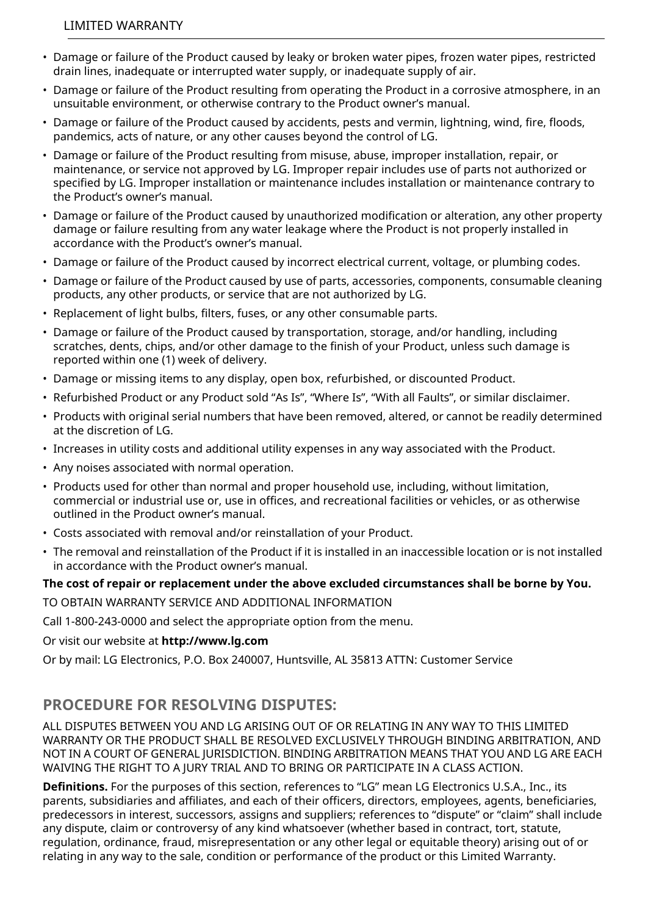### LIMITED WARRANTY

- Damage or failure of the Product caused by leaky or broken water pipes, frozen water pipes, restricted drain lines, inadequate or interrupted water supply, or inadequate supply of air.
- Damage or failure of the Product resulting from operating the Product in a corrosive atmosphere, in an unsuitable environment, or otherwise contrary to the Product owner's manual.
- Damage or failure of the Product caused by accidents, pests and vermin, lightning, wind, fire, floods, pandemics, acts of nature, or any other causes beyond the control of LG.
- Damage or failure of the Product resulting from misuse, abuse, improper installation, repair, or maintenance, or service not approved by LG. Improper repair includes use of parts not authorized or specified by LG. Improper installation or maintenance includes installation or maintenance contrary to the Product's owner's manual.
- Damage or failure of the Product caused by unauthorized modification or alteration, any other property damage or failure resulting from any water leakage where the Product is not properly installed in accordance with the Product's owner's manual.
- Damage or failure of the Product caused by incorrect electrical current, voltage, or plumbing codes.
- Damage or failure of the Product caused by use of parts, accessories, components, consumable cleaning products, any other products, or service that are not authorized by LG.
- Replacement of light bulbs, filters, fuses, or any other consumable parts.
- Damage or failure of the Product caused by transportation, storage, and/or handling, including scratches, dents, chips, and/or other damage to the finish of your Product, unless such damage is reported within one (1) week of delivery.
- Damage or missing items to any display, open box, refurbished, or discounted Product.
- Refurbished Product or any Product sold "As Is", "Where Is", "With all Faults", or similar disclaimer.
- Products with original serial numbers that have been removed, altered, or cannot be readily determined at the discretion of LG.
- Increases in utility costs and additional utility expenses in any way associated with the Product.
- Any noises associated with normal operation.
- Products used for other than normal and proper household use, including, without limitation, commercial or industrial use or, use in offices, and recreational facilities or vehicles, or as otherwise outlined in the Product owner's manual.
- Costs associated with removal and/or reinstallation of your Product.
- The removal and reinstallation of the Product if it is installed in an inaccessible location or is not installed in accordance with the Product owner's manual.

#### **The cost of repair or replacement under the above excluded circumstances shall be borne by You.**

TO OBTAIN WARRANTY SERVICE AND ADDITIONAL INFORMATION

Call 1-800-243-0000 and select the appropriate option from the menu.

Or visit our website at **http://www.lg.com**

Or by mail: LG Electronics, P.O. Box 240007, Huntsville, AL 35813 ATTN: Customer Service

# **PROCEDURE FOR RESOLVING DISPUTES:**

ALL DISPUTES BETWEEN YOU AND LG ARISING OUT OF OR RELATING IN ANY WAY TO THIS LIMITED WARRANTY OR THE PRODUCT SHALL BE RESOLVED EXCLUSIVELY THROUGH BINDING ARBITRATION, AND NOT IN A COURT OF GENERAL JURISDICTION. BINDING ARBITRATION MEANS THAT YOU AND LG ARE EACH WAIVING THE RIGHT TO A JURY TRIAL AND TO BRING OR PARTICIPATE IN A CLASS ACTION.

**Definitions.** For the purposes of this section, references to "LG" mean LG Electronics U.S.A., Inc., its parents, subsidiaries and affiliates, and each of their officers, directors, employees, agents, beneficiaries, predecessors in interest, successors, assigns and suppliers; references to "dispute" or "claim" shall include any dispute, claim or controversy of any kind whatsoever (whether based in contract, tort, statute, regulation, ordinance, fraud, misrepresentation or any other legal or equitable theory) arising out of or relating in any way to the sale, condition or performance of the product or this Limited Warranty.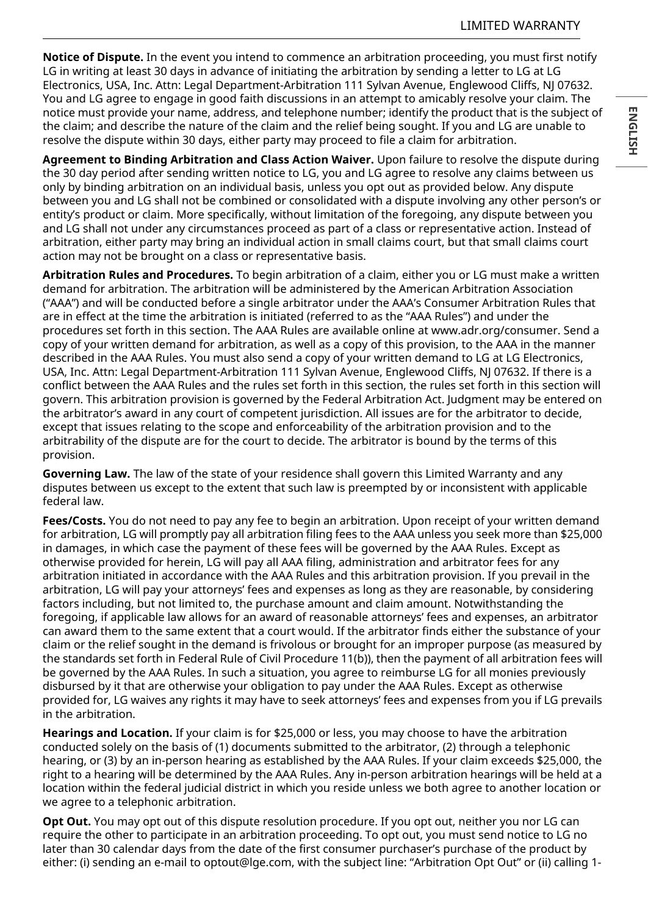**Notice of Dispute.** In the event you intend to commence an arbitration proceeding, you must first notify LG in writing at least 30 days in advance of initiating the arbitration by sending a letter to LG at LG Electronics, USA, Inc. Attn: Legal Department-Arbitration 111 Sylvan Avenue, Englewood Cliffs, NJ 07632. You and LG agree to engage in good faith discussions in an attempt to amicably resolve your claim. The notice must provide your name, address, and telephone number; identify the product that is the subject of the claim; and describe the nature of the claim and the relief being sought. If you and LG are unable to resolve the dispute within 30 days, either party may proceed to file a claim for arbitration.

**Agreement to Binding Arbitration and Class Action Waiver.** Upon failure to resolve the dispute during the 30 day period after sending written notice to LG, you and LG agree to resolve any claims between us only by binding arbitration on an individual basis, unless you opt out as provided below. Any dispute between you and LG shall not be combined or consolidated with a dispute involving any other person's or entity's product or claim. More specifically, without limitation of the foregoing, any dispute between you and LG shall not under any circumstances proceed as part of a class or representative action. Instead of arbitration, either party may bring an individual action in small claims court, but that small claims court action may not be brought on a class or representative basis.

**Arbitration Rules and Procedures.** To begin arbitration of a claim, either you or LG must make a written demand for arbitration. The arbitration will be administered by the American Arbitration Association ("AAA") and will be conducted before a single arbitrator under the AAA's Consumer Arbitration Rules that are in effect at the time the arbitration is initiated (referred to as the "AAA Rules") and under the procedures set forth in this section. The AAA Rules are available online at www.adr.org/consumer. Send a copy of your written demand for arbitration, as well as a copy of this provision, to the AAA in the manner described in the AAA Rules. You must also send a copy of your written demand to LG at LG Electronics, USA, Inc. Attn: Legal Department-Arbitration 111 Sylvan Avenue, Englewood Cliffs, NJ 07632. If there is a conflict between the AAA Rules and the rules set forth in this section, the rules set forth in this section will govern. This arbitration provision is governed by the Federal Arbitration Act. Judgment may be entered on the arbitrator's award in any court of competent jurisdiction. All issues are for the arbitrator to decide, except that issues relating to the scope and enforceability of the arbitration provision and to the arbitrability of the dispute are for the court to decide. The arbitrator is bound by the terms of this provision.

**Governing Law.** The law of the state of your residence shall govern this Limited Warranty and any disputes between us except to the extent that such law is preempted by or inconsistent with applicable federal law.

**Fees/Costs.** You do not need to pay any fee to begin an arbitration. Upon receipt of your written demand for arbitration, LG will promptly pay all arbitration filing fees to the AAA unless you seek more than \$25,000 in damages, in which case the payment of these fees will be governed by the AAA Rules. Except as otherwise provided for herein, LG will pay all AAA filing, administration and arbitrator fees for any arbitration initiated in accordance with the AAA Rules and this arbitration provision. If you prevail in the arbitration, LG will pay your attorneys' fees and expenses as long as they are reasonable, by considering factors including, but not limited to, the purchase amount and claim amount. Notwithstanding the foregoing, if applicable law allows for an award of reasonable attorneys' fees and expenses, an arbitrator can award them to the same extent that a court would. If the arbitrator finds either the substance of your claim or the relief sought in the demand is frivolous or brought for an improper purpose (as measured by the standards set forth in Federal Rule of Civil Procedure 11(b)), then the payment of all arbitration fees will be governed by the AAA Rules. In such a situation, you agree to reimburse LG for all monies previously disbursed by it that are otherwise your obligation to pay under the AAA Rules. Except as otherwise provided for, LG waives any rights it may have to seek attorneys' fees and expenses from you if LG prevails in the arbitration.

**Hearings and Location.** If your claim is for \$25,000 or less, you may choose to have the arbitration conducted solely on the basis of (1) documents submitted to the arbitrator, (2) through a telephonic hearing, or (3) by an in-person hearing as established by the AAA Rules. If your claim exceeds \$25,000, the right to a hearing will be determined by the AAA Rules. Any in-person arbitration hearings will be held at a location within the federal judicial district in which you reside unless we both agree to another location or we agree to a telephonic arbitration.

**Opt Out.** You may opt out of this dispute resolution procedure. If you opt out, neither you nor LG can require the other to participate in an arbitration proceeding. To opt out, you must send notice to LG no later than 30 calendar days from the date of the first consumer purchaser's purchase of the product by either: (i) sending an e-mail to optout@lge.com, with the subject line: "Arbitration Opt Out" or (ii) calling 1-